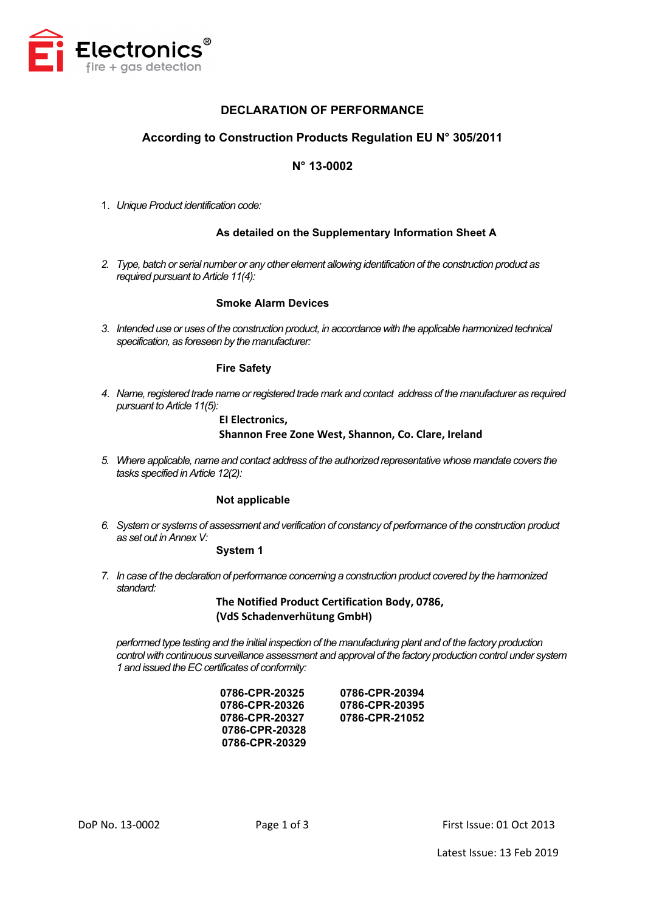

# **DECLARATION OF PERFORMANCE**

# **According to Construction Products Regulation EU N° 305/2011**

# **N° 13-0002**

1. *Unique Product identification code:* 

### **As detailed on the Supplementary Information Sheet A**

*2. Type, batch or serial number or any other element allowing identification of the construction product as required pursuant to Article 11(4):*

#### **Smoke Alarm Devices**

*3. Intended use or uses of the construction product, in accordance with the applicable harmonized technical specification, as foreseen by the manufacturer:*

#### **Fire Safety**

*4. Name, registered trade name or registered trade mark and contact address of the manufacturer as required pursuant to Article 11(5):*

# **EI Electronics, Shannon Free Zone West, Shannon, Co. Clare, Ireland**

*5. Where applicable, name and contact address of the authorized representative whose mandate covers the tasks specified in Article 12(2):*

#### **Not applicable**

*6. System or systems of assessment and verification of constancy of performance of the construction product as set out in Annex V:*

## **System 1**

*7. In case of the declaration of performance concerning a construction product covered by the harmonized standard:*

> **The Notified Product Certification Body, 0786, (VdS Schadenverhütung GmbH)**

*performed type testing and the initial inspection of the manufacturing plant and of the factory production control with continuous surveillance assessment and approval of the factory production control under system 1 and issued the EC certificates of conformity:*

| 0786-CPR-20394 |
|----------------|
| 0786-CPR-20395 |
| 0786-CPR-21052 |
|                |
|                |
|                |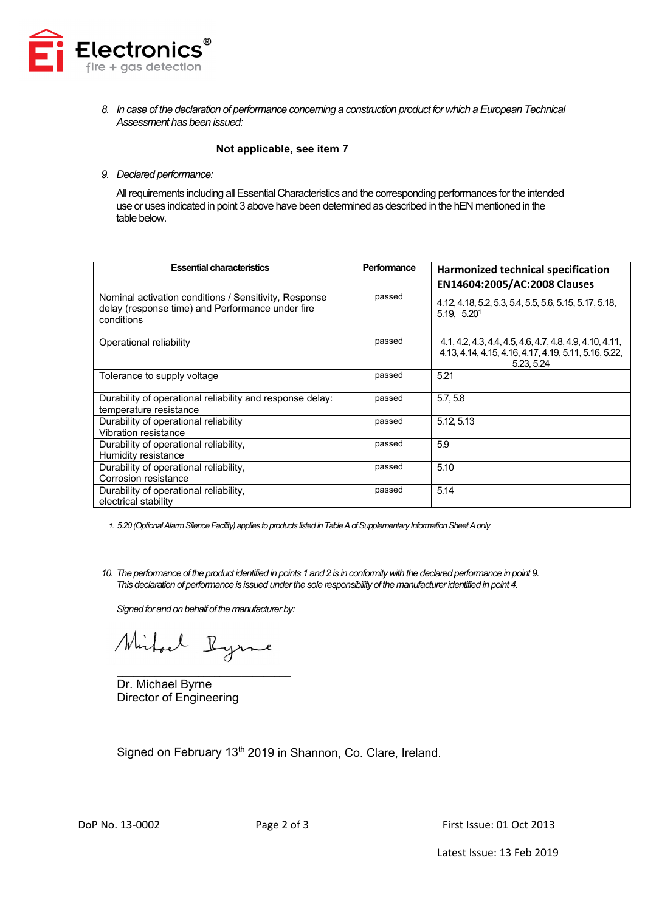

*8. In case of the declaration of performance concerning a construction product for which a European Technical Assessment has been issued:*

#### **Not applicable, see item 7**

#### *9. Declared performance:*

All requirements including all Essential Characteristics and the corresponding performances for the intended use or uses indicated in point 3 above have been determined as described in the hEN mentioned in the table below.

| <b>Essential characteristics</b>                                                                                        | Performance | <b>Harmonized technical specification</b>                                                                                       |
|-------------------------------------------------------------------------------------------------------------------------|-------------|---------------------------------------------------------------------------------------------------------------------------------|
|                                                                                                                         |             | EN14604:2005/AC:2008 Clauses                                                                                                    |
| Nominal activation conditions / Sensitivity, Response<br>delay (response time) and Performance under fire<br>conditions | passed      | 4.12, 4.18, 5.2, 5.3, 5.4, 5.5, 5.6, 5.15, 5.17, 5.18,<br>5.19, 5.20 <sup>1</sup>                                               |
| Operational reliability                                                                                                 | passed      | 4.1, 4.2, 4.3, 4.4, 4.5, 4.6, 4.7, 4.8, 4.9, 4.10, 4.11,<br>4.13, 4.14, 4.15, 4.16, 4.17, 4.19, 5.11, 5.16, 5.22,<br>5.23, 5.24 |
| Tolerance to supply voltage                                                                                             | passed      | 5.21                                                                                                                            |
| Durability of operational reliability and response delay:<br>temperature resistance                                     | passed      | 5.7.5.8                                                                                                                         |
| Durability of operational reliability<br>Vibration resistance                                                           | passed      | 5.12.5.13                                                                                                                       |
| Durability of operational reliability,<br>Humidity resistance                                                           | passed      | 5.9                                                                                                                             |
| Durability of operational reliability,<br>Corrosion resistance                                                          | passed      | 5.10                                                                                                                            |
| Durability of operational reliability,<br>electrical stability                                                          | passed      | 5.14                                                                                                                            |

*1. 5.20 (Optional Alarm Silence Facility) applies to products listed in Table A of Supplementary Information Sheet Aonly*

*10. The performance of the product identified in points 1 and 2 is in conformity with the declared performance in point 9. This declaration of performance is issued under the sole responsibility of the manufacturer identified in point 4.*

*Signed for and on behalf of the manufacturer by:*

Mirhael Ryme

\_\_\_\_\_\_\_\_\_\_\_\_\_\_\_\_\_\_\_\_\_\_\_\_\_\_\_\_\_\_\_\_ Dr. Michael Byrne Director of Engineering

Signed on February 13<sup>th</sup> 2019 in Shannon, Co. Clare, Ireland.

DoP No. 13-0002 Page 2 of 3 First Issue: 01 Oct 2013